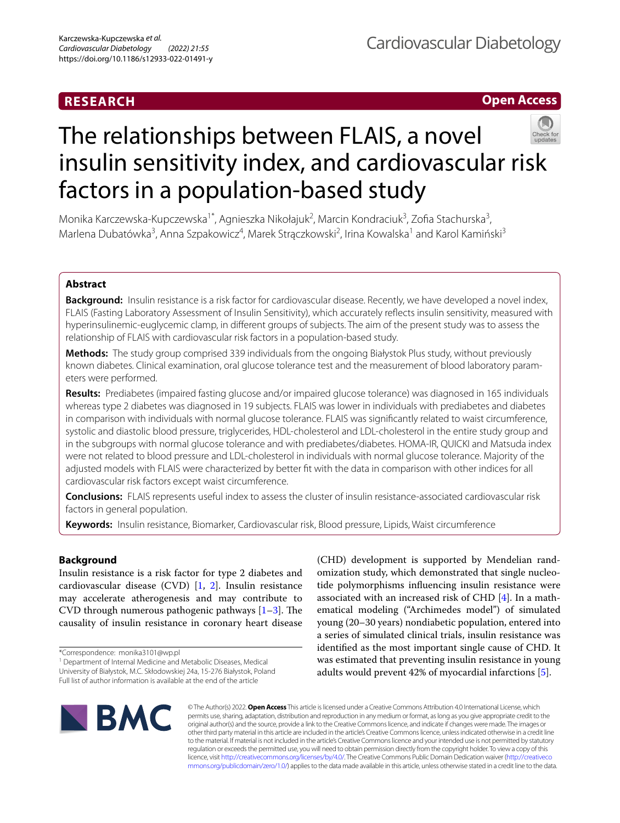## **RESEARCH**

## **Open Access**



# The relationships between FLAIS, a novel insulin sensitivity index, and cardiovascular risk factors in a population-based study

Monika Karczewska-Kupczewska<sup>1\*</sup>, Agnieszka Nikołajuk<sup>2</sup>, Marcin Kondraciuk<sup>3</sup>, Zofia Stachurska<sup>3</sup>, Marlena Dubatówka<sup>3</sup>, Anna Szpakowicz<sup>4</sup>, Marek Strączkowski<sup>2</sup>, Irina Kowalska<sup>1</sup> and Karol Kamiński<sup>3</sup>

## **Abstract**

**Background:** Insulin resistance is a risk factor for cardiovascular disease. Recently, we have developed a novel index, FLAIS (Fasting Laboratory Assessment of Insulin Sensitivity), which accurately refects insulin sensitivity, measured with hyperinsulinemic-euglycemic clamp, in diferent groups of subjects. The aim of the present study was to assess the relationship of FLAIS with cardiovascular risk factors in a population-based study.

**Methods:** The study group comprised 339 individuals from the ongoing Białystok Plus study, without previously known diabetes. Clinical examination, oral glucose tolerance test and the measurement of blood laboratory parameters were performed.

**Results:** Prediabetes (impaired fasting glucose and/or impaired glucose tolerance) was diagnosed in 165 individuals whereas type 2 diabetes was diagnosed in 19 subjects. FLAIS was lower in individuals with prediabetes and diabetes in comparison with individuals with normal glucose tolerance. FLAIS was signifcantly related to waist circumference, systolic and diastolic blood pressure, triglycerides, HDL-cholesterol and LDL-cholesterol in the entire study group and in the subgroups with normal glucose tolerance and with prediabetes/diabetes. HOMA-IR, QUICKI and Matsuda index were not related to blood pressure and LDL-cholesterol in individuals with normal glucose tolerance. Majority of the adjusted models with FLAIS were characterized by better ft with the data in comparison with other indices for all cardiovascular risk factors except waist circumference.

**Conclusions:** FLAIS represents useful index to assess the cluster of insulin resistance-associated cardiovascular risk factors in general population.

**Keywords:** Insulin resistance, Biomarker, Cardiovascular risk, Blood pressure, Lipids, Waist circumference

## **Background**

Insulin resistance is a risk factor for type 2 diabetes and cardiovascular disease (CVD) [\[1,](#page-8-0) [2\]](#page-8-1). Insulin resistance may accelerate atherogenesis and may contribute to CVD through numerous pathogenic pathways  $[1-3]$  $[1-3]$ . The causality of insulin resistance in coronary heart disease

<sup>1</sup> Department of Internal Medicine and Metabolic Diseases, Medical University of Białystok, M.C. Skłodowskiej 24a, 15‑276 Białystok, Poland Full list of author information is available at the end of the article

(CHD) development is supported by Mendelian randomization study, which demonstrated that single nucleotide polymorphisms infuencing insulin resistance were associated with an increased risk of CHD [[4\]](#page-8-3). In a mathematical modeling ("Archimedes model") of simulated young (20–30 years) nondiabetic population, entered into a series of simulated clinical trials, insulin resistance was identifed as the most important single cause of CHD. It was estimated that preventing insulin resistance in young adults would prevent 42% of myocardial infarctions [[5\]](#page-8-4).



© The Author(s) 2022. **Open Access** This article is licensed under a Creative Commons Attribution 4.0 International License, which permits use, sharing, adaptation, distribution and reproduction in any medium or format, as long as you give appropriate credit to the original author(s) and the source, provide a link to the Creative Commons licence, and indicate if changes were made. The images or other third party material in this article are included in the article's Creative Commons licence, unless indicated otherwise in a credit line to the material. If material is not included in the article's Creative Commons licence and your intended use is not permitted by statutory regulation or exceeds the permitted use, you will need to obtain permission directly from the copyright holder. To view a copy of this licence, visit [http://creativecommons.org/licenses/by/4.0/.](http://creativecommons.org/licenses/by/4.0/) The Creative Commons Public Domain Dedication waiver ([http://creativeco](http://creativecommons.org/publicdomain/zero/1.0/) [mmons.org/publicdomain/zero/1.0/](http://creativecommons.org/publicdomain/zero/1.0/)) applies to the data made available in this article, unless otherwise stated in a credit line to the data.

<sup>\*</sup>Correspondence: monika3101@wp.pl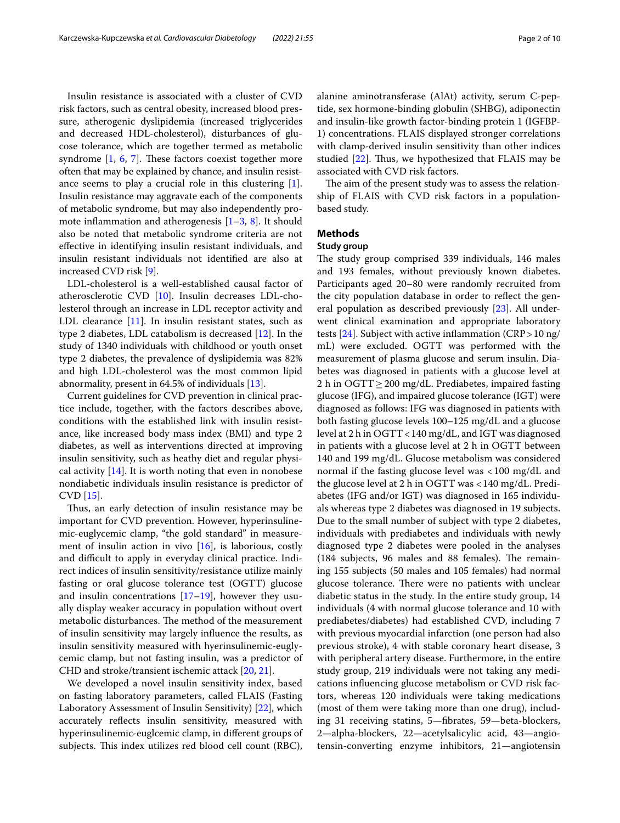Insulin resistance is associated with a cluster of CVD risk factors, such as central obesity, increased blood pressure, atherogenic dyslipidemia (increased triglycerides and decreased HDL-cholesterol), disturbances of glucose tolerance, which are together termed as metabolic syndrome  $[1, 6, 7]$  $[1, 6, 7]$  $[1, 6, 7]$  $[1, 6, 7]$  $[1, 6, 7]$ . These factors coexist together more often that may be explained by chance, and insulin resistance seems to play a crucial role in this clustering [\[1](#page-8-0)]. Insulin resistance may aggravate each of the components of metabolic syndrome, but may also independently promote inflammation and atherogenesis  $[1-3, 8]$  $[1-3, 8]$  $[1-3, 8]$  $[1-3, 8]$ . It should also be noted that metabolic syndrome criteria are not efective in identifying insulin resistant individuals, and insulin resistant individuals not identifed are also at increased CVD risk [\[9](#page-8-8)].

LDL-cholesterol is a well-established causal factor of atherosclerotic CVD [[10\]](#page-8-9). Insulin decreases LDL-cholesterol through an increase in LDL receptor activity and LDL clearance [\[11](#page-8-10)]. In insulin resistant states, such as type 2 diabetes, LDL catabolism is decreased [[12\]](#page-8-11). In the study of 1340 individuals with childhood or youth onset type 2 diabetes, the prevalence of dyslipidemia was 82% and high LDL-cholesterol was the most common lipid abnormality, present in 64.5% of individuals [\[13](#page-8-12)].

Current guidelines for CVD prevention in clinical practice include, together, with the factors describes above, conditions with the established link with insulin resistance, like increased body mass index (BMI) and type 2 diabetes, as well as interventions directed at improving insulin sensitivity, such as heathy diet and regular physical activity  $[14]$  $[14]$ . It is worth noting that even in nonobese nondiabetic individuals insulin resistance is predictor of CVD [\[15](#page-8-14)].

Thus, an early detection of insulin resistance may be important for CVD prevention. However, hyperinsulinemic-euglycemic clamp, "the gold standard" in measurement of insulin action in vivo  $[16]$  $[16]$ , is laborious, costly and difficult to apply in everyday clinical practice. Indirect indices of insulin sensitivity/resistance utilize mainly fasting or oral glucose tolerance test (OGTT) glucose and insulin concentrations  $[17–19]$  $[17–19]$ , however they usually display weaker accuracy in population without overt metabolic disturbances. The method of the measurement of insulin sensitivity may largely infuence the results, as insulin sensitivity measured with hyerinsulinemic-euglycemic clamp, but not fasting insulin, was a predictor of CHD and stroke/transient ischemic attack [\[20](#page-8-18), [21](#page-8-19)].

We developed a novel insulin sensitivity index, based on fasting laboratory parameters, called FLAIS (Fasting Laboratory Assessment of Insulin Sensitivity) [\[22\]](#page-8-20), which accurately refects insulin sensitivity, measured with hyperinsulinemic-euglcemic clamp, in diferent groups of subjects. This index utilizes red blood cell count (RBC),

alanine aminotransferase (AlAt) activity, serum C-peptide, sex hormone-binding globulin (SHBG), adiponectin and insulin-like growth factor-binding protein 1 (IGFBP-1) concentrations. FLAIS displayed stronger correlations with clamp-derived insulin sensitivity than other indices studied  $[22]$  $[22]$ . Thus, we hypothesized that FLAIS may be associated with CVD risk factors.

The aim of the present study was to assess the relationship of FLAIS with CVD risk factors in a populationbased study.

## **Methods**

## **Study group**

The study group comprised 339 individuals, 146 males and 193 females, without previously known diabetes. Participants aged 20–80 were randomly recruited from the city population database in order to refect the general population as described previously [\[23](#page-8-21)]. All underwent clinical examination and appropriate laboratory tests  $[24]$  $[24]$ . Subject with active inflammation (CRP > 10 ng/ mL) were excluded. OGTT was performed with the measurement of plasma glucose and serum insulin. Diabetes was diagnosed in patients with a glucose level at 2 h in OGTT ≥ 200 mg/dL. Prediabetes, impaired fasting glucose (IFG), and impaired glucose tolerance (IGT) were diagnosed as follows: IFG was diagnosed in patients with both fasting glucose levels 100–125 mg/dL and a glucose level at 2 h in OGTT<140 mg/dL, and IGT was diagnosed in patients with a glucose level at 2 h in OGTT between 140 and 199 mg/dL. Glucose metabolism was considered normal if the fasting glucose level was <100 mg/dL and the glucose level at 2 h in OGTT was <140 mg/dL. Prediabetes (IFG and/or IGT) was diagnosed in 165 individuals whereas type 2 diabetes was diagnosed in 19 subjects. Due to the small number of subject with type 2 diabetes, individuals with prediabetes and individuals with newly diagnosed type 2 diabetes were pooled in the analyses  $(184 \text{ subjects}, 96 \text{ males} and 88 \text{ females}).$  The remaining 155 subjects (50 males and 105 females) had normal glucose tolerance. There were no patients with unclear diabetic status in the study. In the entire study group, 14 individuals (4 with normal glucose tolerance and 10 with prediabetes/diabetes) had established CVD, including 7 with previous myocardial infarction (one person had also previous stroke), 4 with stable coronary heart disease, 3 with peripheral artery disease. Furthermore, in the entire study group, 219 individuals were not taking any medications infuencing glucose metabolism or CVD risk factors, whereas 120 individuals were taking medications (most of them were taking more than one drug), including 31 receiving statins, 5—fbrates, 59—beta-blockers, 2—alpha-blockers, 22—acetylsalicylic acid, 43—angiotensin-converting enzyme inhibitors, 21—angiotensin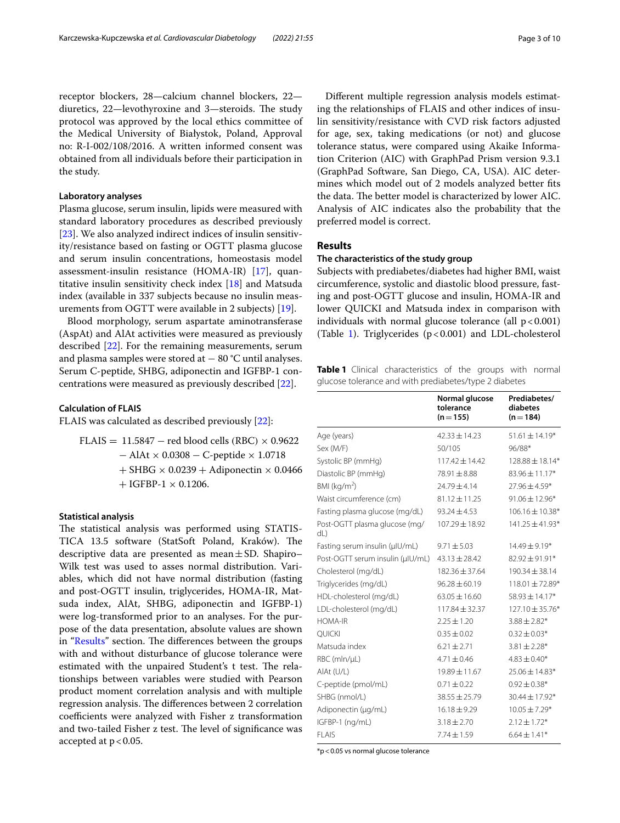receptor blockers, 28—calcium channel blockers, 22 diuretics, 22—levothyroxine and 3—steroids. The study protocol was approved by the local ethics committee of the Medical University of Białystok, Poland, Approval no: R-I-002/108/2016. A written informed consent was obtained from all individuals before their participation in the study.

### **Laboratory analyses**

Plasma glucose, serum insulin, lipids were measured with standard laboratory procedures as described previously [[23\]](#page-8-21). We also analyzed indirect indices of insulin sensitivity/resistance based on fasting or OGTT plasma glucose and serum insulin concentrations, homeostasis model assessment-insulin resistance (HOMA-IR) [\[17](#page-8-16)], quantitative insulin sensitivity check index [[18\]](#page-8-23) and Matsuda index (available in 337 subjects because no insulin measurements from OGTT were available in 2 subjects) [[19](#page-8-17)].

Blood morphology, serum aspartate aminotransferase (AspAt) and AlAt activities were measured as previously described [[22\]](#page-8-20). For the remaining measurements, serum and plasma samples were stored at  $-80$  °C until analyses. Serum C-peptide, SHBG, adiponectin and IGFBP-1 concentrations were measured as previously described [\[22](#page-8-20)].

## **Calculation of FLAIS**

FLAIS was calculated as described previously [\[22](#page-8-20)]:

FLAIS =  $11.5847$  – red blood cells (RBC)  $\times$  0.9622 − AlAt × 0.0308 − C-peptide × 1.0718  $+$  SHBG  $\times$  0.0239  $+$  Adiponectin  $\times$  0.0466  $+$  IGFBP-1  $\times$  0.1206.

### **Statistical analysis**

The statistical analysis was performed using STATIS-TICA 13.5 software (StatSoft Poland, Kraków). The descriptive data are presented as mean $\pm$ SD. Shapiro– Wilk test was used to asses normal distribution. Variables, which did not have normal distribution (fasting and post-OGTT insulin, triglycerides, HOMA-IR, Matsuda index, AlAt, SHBG, adiponectin and IGFBP-1) were log-transformed prior to an analyses. For the purpose of the data presentation, absolute values are shown in "[Results](#page-2-0)" section. The differences between the groups with and without disturbance of glucose tolerance were estimated with the unpaired Student's t test. The relationships between variables were studied with Pearson product moment correlation analysis and with multiple regression analysis. The differences between 2 correlation coefficients were analyzed with Fisher z transformation and two-tailed Fisher z test. The level of significance was accepted at  $p < 0.05$ .

Diferent multiple regression analysis models estimating the relationships of FLAIS and other indices of insulin sensitivity/resistance with CVD risk factors adjusted for age, sex, taking medications (or not) and glucose tolerance status, were compared using Akaike Information Criterion (AIC) with GraphPad Prism version 9.3.1 (GraphPad Software, San Diego, CA, USA). AIC determines which model out of 2 models analyzed better fts the data. The better model is characterized by lower AIC. Analysis of AIC indicates also the probability that the preferred model is correct.

#### <span id="page-2-0"></span>**Results**

## **The characteristics of the study group**

Subjects with prediabetes/diabetes had higher BMI, waist circumference, systolic and diastolic blood pressure, fasting and post-OGTT glucose and insulin, HOMA-IR and lower QUICKI and Matsuda index in comparison with individuals with normal glucose tolerance (all  $p < 0.001$ ) (Table [1\)](#page-2-1). Triglycerides  $(p < 0.001)$  and LDL-cholesterol

<span id="page-2-1"></span>**Table 1** Clinical characteristics of the groups with normal glucose tolerance and with prediabetes/type 2 diabetes

|                                      | Normal glucose<br>tolerance<br>$(n=155)$ | Prediabetes/<br>diabetes<br>$(n = 184)$ |
|--------------------------------------|------------------------------------------|-----------------------------------------|
| Age (years)                          | $42.33 \pm 14.23$                        | $51.61 \pm 14.19*$                      |
| Sex (M/F)                            | 50/105                                   | 96/88*                                  |
| Systolic BP (mmHq)                   | $117.42 \pm 14.42$                       | 128.88 ± 18.14*                         |
| Diastolic BP (mmHg)                  | $78.91 \pm 8.88$                         | $83.96 \pm 11.17*$                      |
| BMI ( $kg/m2$ )                      | $74.79 + 4.14$                           | $27.96 \pm 4.59*$                       |
| Waist circumference (cm)             | $81.12 \pm 11.25$                        | $91.06 \pm 12.96*$                      |
| Fasting plasma glucose (mg/dL)       | $93.24 \pm 4.53$                         | $106.16 \pm 10.38*$                     |
| Post-OGTT plasma glucose (mg/<br>dL) | $107.29 \pm 18.92$                       | $141.25 \pm 41.93*$                     |
| Fasting serum insulin (µlU/mL)       | $9.71 \pm 5.03$                          | $14.49 \pm 9.19*$                       |
| Post-OGTT serum insulin (µIU/mL)     | $43.13 \pm 28.42$                        | $82.92 \pm 91.91*$                      |
| Cholesterol (mg/dL)                  | $182.36 + 37.64$                         | $190.34 + 38.14$                        |
| Triglycerides (mg/dL)                | $96.28 + 60.19$                          | $118.01 \pm 72.89*$                     |
| HDL-cholesterol (mg/dL)              | $63.05 \pm 16.60$                        | $58.93 \pm 14.17*$                      |
| LDL-cholesterol (mg/dL)              | $117.84 \pm 32.37$                       | $127.10 \pm 35.76*$                     |
| <b>HOMA-IR</b>                       | $2.25 + 1.20$                            | $3.88 \pm 2.82*$                        |
| <b>QUICKI</b>                        | $0.35 \pm 0.02$                          | $0.32 \pm 0.03*$                        |
| Matsuda index                        | $6.21 + 2.71$                            | $3.81 \pm 2.28*$                        |
| RBC (mln/µL)                         | $4.71 + 0.46$                            | $4.83 \pm 0.40*$                        |
| AlAt (U/L)                           | $19.89 \pm 11.67$                        | $25.06 \pm 14.83*$                      |
| C-peptide (pmol/mL)                  | $0.71 \pm 0.22$                          | $0.92 \pm 0.38*$                        |
| SHBG (nmol/L)                        | $38.55 \pm 25.79$                        | 30.44 ± 17.92*                          |
| Adiponectin (µg/mL)                  | $16.18 \pm 9.29$                         | $10.05 \pm 7.29*$                       |
| IGFBP-1 (ng/mL)                      | $3.18 + 2.70$                            | $2.12 \pm 1.72*$                        |
| <b>FLAIS</b>                         | $7.74 \pm 1.59$                          | $6.64 \pm 1.41*$                        |

\*p<0.05 vs normal glucose tolerance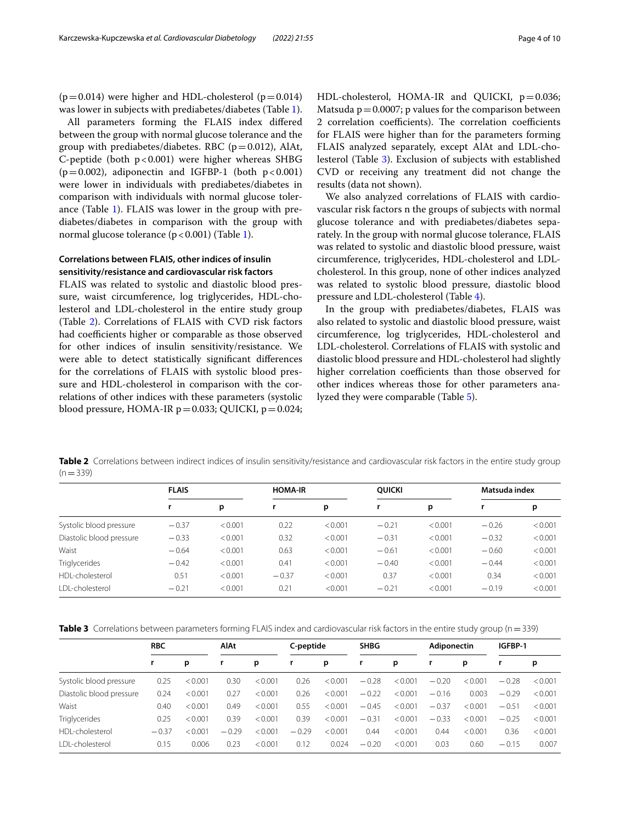$(p=0.014)$  were higher and HDL-cholesterol  $(p=0.014)$ was lower in subjects with prediabetes/diabetes (Table [1](#page-2-1)).

All parameters forming the FLAIS index difered between the group with normal glucose tolerance and the group with prediabetes/diabetes. RBC ( $p=0.012$ ), AlAt, C-peptide (both  $p < 0.001$ ) were higher whereas SHBG  $(p=0.002)$ , adiponectin and IGFBP-1 (both  $p<0.001$ ) were lower in individuals with prediabetes/diabetes in comparison with individuals with normal glucose tolerance (Table [1\)](#page-2-1). FLAIS was lower in the group with prediabetes/diabetes in comparison with the group with normal glucose tolerance  $(p < 0.001)$  (Table [1](#page-2-1)).

## **Correlations between FLAIS, other indices of insulin sensitivity/resistance and cardiovascular risk factors**

FLAIS was related to systolic and diastolic blood pressure, waist circumference, log triglycerides, HDL-cholesterol and LDL-cholesterol in the entire study group (Table [2\)](#page-3-0). Correlations of FLAIS with CVD risk factors had coefficients higher or comparable as those observed for other indices of insulin sensitivity/resistance. We were able to detect statistically signifcant diferences for the correlations of FLAIS with systolic blood pressure and HDL-cholesterol in comparison with the correlations of other indices with these parameters (systolic blood pressure, HOMA-IR  $p=0.033$ ; QUICKI,  $p=0.024$ ; HDL-cholesterol, HOMA-IR and QUICKI,  $p=0.036$ ; Matsuda  $p = 0.0007$ ; p values for the comparison between 2 correlation coefficients). The correlation coefficients for FLAIS were higher than for the parameters forming FLAIS analyzed separately, except AlAt and LDL-cholesterol (Table [3\)](#page-3-1). Exclusion of subjects with established CVD or receiving any treatment did not change the results (data not shown).

We also analyzed correlations of FLAIS with cardiovascular risk factors n the groups of subjects with normal glucose tolerance and with prediabetes/diabetes separately. In the group with normal glucose tolerance, FLAIS was related to systolic and diastolic blood pressure, waist circumference, triglycerides, HDL-cholesterol and LDLcholesterol. In this group, none of other indices analyzed was related to systolic blood pressure, diastolic blood pressure and LDL-cholesterol (Table [4\)](#page-4-0).

In the group with prediabetes/diabetes, FLAIS was also related to systolic and diastolic blood pressure, waist circumference, log triglycerides, HDL-cholesterol and LDL-cholesterol. Correlations of FLAIS with systolic and diastolic blood pressure and HDL-cholesterol had slightly higher correlation coefficients than those observed for other indices whereas those for other parameters analyzed they were comparable (Table [5](#page-4-1)).

<span id="page-3-0"></span>**Table 2** Correlations between indirect indices of insulin sensitivity/resistance and cardiovascular risk factors in the entire study group  $(n=339)$ 

|                          | <b>FLAIS</b> |         | <b>HOMA-IR</b> |         | <b>OUICKI</b> |         | Matsuda index |         |
|--------------------------|--------------|---------|----------------|---------|---------------|---------|---------------|---------|
|                          |              | p       |                | p       |               | p       |               | р       |
| Systolic blood pressure  | $-0.37$      | < 0.001 | 0.22           | < 0.001 | $-0.21$       | < 0.001 | $-0.26$       | < 0.001 |
| Diastolic blood pressure | $-0.33$      | < 0.001 | 0.32           | < 0.001 | $-0.31$       | < 0.001 | $-0.32$       | < 0.001 |
| Waist                    | $-0.64$      | < 0.001 | 0.63           | < 0.001 | $-0.61$       | < 0.001 | $-0.60$       | < 0.001 |
| <b>Triglycerides</b>     | $-0.42$      | < 0.001 | 0.41           | < 0.001 | $-0.40$       | < 0.001 | $-0.44$       | < 0.001 |
| HDI-cholesterol          | 0.51         | < 0.001 | $-0.37$        | < 0.001 | 0.37          | < 0.001 | 0.34          | < 0.001 |
| <b>IDI-cholesterol</b>   | $-0.21$      | < 0.001 | 0.21           | < 0.001 | $-0.21$       | < 0.001 | $-0.19$       | < 0.001 |

<span id="page-3-1"></span>

| Table 3 Correlations between parameters forming FLAIS index and cardiovascular risk factors in the entire study group (n = 339) |  |
|---------------------------------------------------------------------------------------------------------------------------------|--|
|---------------------------------------------------------------------------------------------------------------------------------|--|

|                          | <b>RBC</b> |         | AIAt    |         | C-peptide |         | <b>SHBG</b> |         | Adiponectin |         | IGFBP-1 |         |
|--------------------------|------------|---------|---------|---------|-----------|---------|-------------|---------|-------------|---------|---------|---------|
|                          |            | р       | r       | р       | r,        | р       | r           | р       |             | р       |         | р       |
| Systolic blood pressure  | 0.25       | < 0.001 | 0.30    | < 0.001 | 0.26      | < 0.001 | $-0.28$     | < 0.001 | $-0.20$     | < 0.001 | $-0.28$ | < 0.001 |
| Diastolic blood pressure | 0.24       | < 0.001 | 0.27    | < 0.001 | 0.26      | < 0.001 | $-0.22$     | < 0.001 | $-0.16$     | 0.003   | $-0.29$ | < 0.001 |
| Waist                    | 0.40       | < 0.001 | 0.49    | < 0.001 | 0.55      | < 0.001 | $-0.45$     | < 0.001 | $-0.37$     | < 0.001 | $-0.51$ | < 0.001 |
| <b>Triglycerides</b>     | 0.25       | < 0.001 | 0.39    | < 0.001 | 0.39      | < 0.001 | $-0.31$     | < 0.001 | $-0.33$     | < 0.001 | $-0.25$ | < 0.001 |
| HDI-cholesterol          | $-0.37$    | < 0.001 | $-0.29$ | < 0.001 | $-0.29$   | < 0.001 | 0.44        | < 0.001 | 0.44        | < 0.001 | 0.36    | < 0.001 |
| I DI-cholesterol         | 0.15       | 0.006   | 0.23    | < 0.001 | 0.12      | 0.024   | $-0.20$     | < 0.001 | 0.03        | 0.60    | $-0.15$ | 0.007   |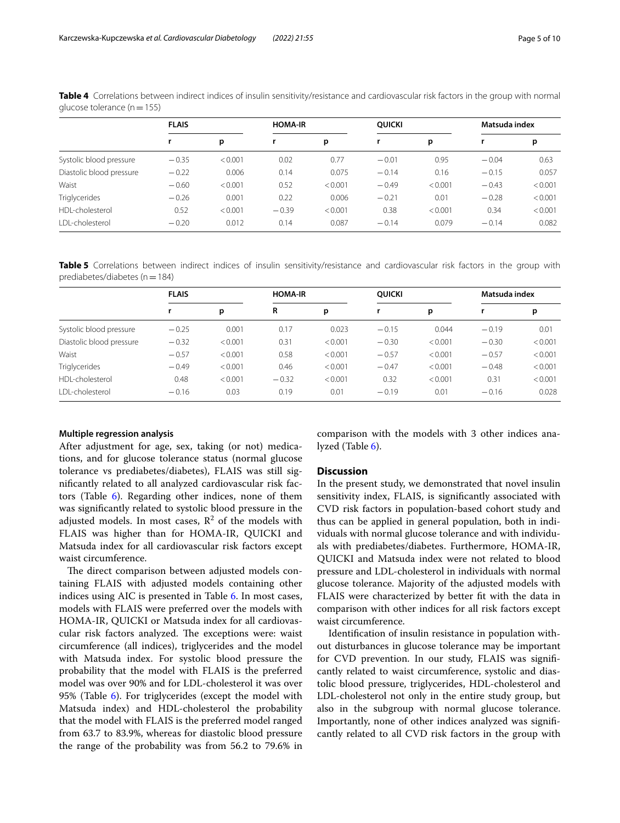| <b>FLAIS</b> |         | <b>HOMA-IR</b> |         | <b>OUICKI</b> |         |         |               |
|--------------|---------|----------------|---------|---------------|---------|---------|---------------|
|              | p       |                | p       |               | p       |         | р             |
| $-0.35$      | < 0.001 | 0.02           | 0.77    | $-0.01$       | 0.95    | $-0.04$ | 0.63          |
| $-0.22$      | 0.006   | 0.14           | 0.075   | $-0.14$       | 0.16    | $-0.15$ | 0.057         |
| $-0.60$      | < 0.001 | 0.52           | < 0.001 | $-0.49$       | < 0.001 | $-0.43$ | < 0.001       |
| $-0.26$      | 0.001   | 0.22           | 0.006   | $-0.21$       | 0.01    | $-0.28$ | < 0.001       |
| 0.52         | < 0.001 | $-0.39$        | < 0.001 | 0.38          | < 0.001 | 0.34    | < 0.001       |
| $-0.20$      | 0.012   | 0.14           | 0.087   | $-0.14$       | 0.079   | $-0.14$ | 0.082         |
|              |         |                |         |               |         |         | Matsuda index |

<span id="page-4-0"></span>**Table 4** Correlations between indirect indices of insulin sensitivity/resistance and cardiovascular risk factors in the group with normal glucose tolerance ( $n=155$ )

<span id="page-4-1"></span>**Table 5** Correlations between indirect indices of insulin sensitivity/resistance and cardiovascular risk factors in the group with prediabetes/diabetes ( $n=184$ )

|                          | <b>FLAIS</b> |         | <b>HOMA-IR</b> |         | <b>OUICKI</b> |         | Matsuda index |         |
|--------------------------|--------------|---------|----------------|---------|---------------|---------|---------------|---------|
|                          |              | р       | R              | p       |               | p       |               | р       |
| Systolic blood pressure  | $-0.25$      | 0.001   | 0.17           | 0.023   | $-0.15$       | 0.044   | $-0.19$       | 0.01    |
| Diastolic blood pressure | $-0.32$      | < 0.001 | 0.31           | < 0.001 | $-0.30$       | < 0.001 | $-0.30$       | < 0.001 |
| Waist                    | $-0.57$      | < 0.001 | 0.58           | < 0.001 | $-0.57$       | < 0.001 | $-0.57$       | < 0.001 |
| <b>Triglycerides</b>     | $-0.49$      | < 0.001 | 0.46           | < 0.001 | $-0.47$       | < 0.001 | $-0.48$       | < 0.001 |
| HDL-cholesterol          | 0.48         | < 0.001 | $-0.32$        | < 0.001 | 0.32          | < 0.001 | 0.31          | < 0.001 |
| LDL-cholesterol          | $-0.16$      | 0.03    | 0.19           | 0.01    | $-0.19$       | 0.01    | $-0.16$       | 0.028   |

#### **Multiple regression analysis**

After adjustment for age, sex, taking (or not) medications, and for glucose tolerance status (normal glucose tolerance vs prediabetes/diabetes), FLAIS was still signifcantly related to all analyzed cardiovascular risk factors (Table  $6$ ). Regarding other indices, none of them was signifcantly related to systolic blood pressure in the adjusted models. In most cases,  $\mathbb{R}^2$  of the models with FLAIS was higher than for HOMA-IR, QUICKI and Matsuda index for all cardiovascular risk factors except waist circumference.

The direct comparison between adjusted models containing FLAIS with adjusted models containing other indices using AIC is presented in Table [6.](#page-5-0) In most cases, models with FLAIS were preferred over the models with HOMA-IR, QUICKI or Matsuda index for all cardiovascular risk factors analyzed. The exceptions were: waist circumference (all indices), triglycerides and the model with Matsuda index. For systolic blood pressure the probability that the model with FLAIS is the preferred model was over 90% and for LDL-cholesterol it was over 95% (Table [6\)](#page-5-0). For triglycerides (except the model with Matsuda index) and HDL-cholesterol the probability that the model with FLAIS is the preferred model ranged from 63.7 to 83.9%, whereas for diastolic blood pressure the range of the probability was from 56.2 to 79.6% in comparison with the models with 3 other indices analyzed (Table [6](#page-5-0)).

#### **Discussion**

In the present study, we demonstrated that novel insulin sensitivity index, FLAIS, is signifcantly associated with CVD risk factors in population-based cohort study and thus can be applied in general population, both in individuals with normal glucose tolerance and with individuals with prediabetes/diabetes. Furthermore, HOMA-IR, QUICKI and Matsuda index were not related to blood pressure and LDL-cholesterol in individuals with normal glucose tolerance. Majority of the adjusted models with FLAIS were characterized by better ft with the data in comparison with other indices for all risk factors except waist circumference.

 Identifcation of insulin resistance in population without disturbances in glucose tolerance may be important for CVD prevention. In our study, FLAIS was signifcantly related to waist circumference, systolic and diastolic blood pressure, triglycerides, HDL-cholesterol and LDL-cholesterol not only in the entire study group, but also in the subgroup with normal glucose tolerance. Importantly, none of other indices analyzed was signifcantly related to all CVD risk factors in the group with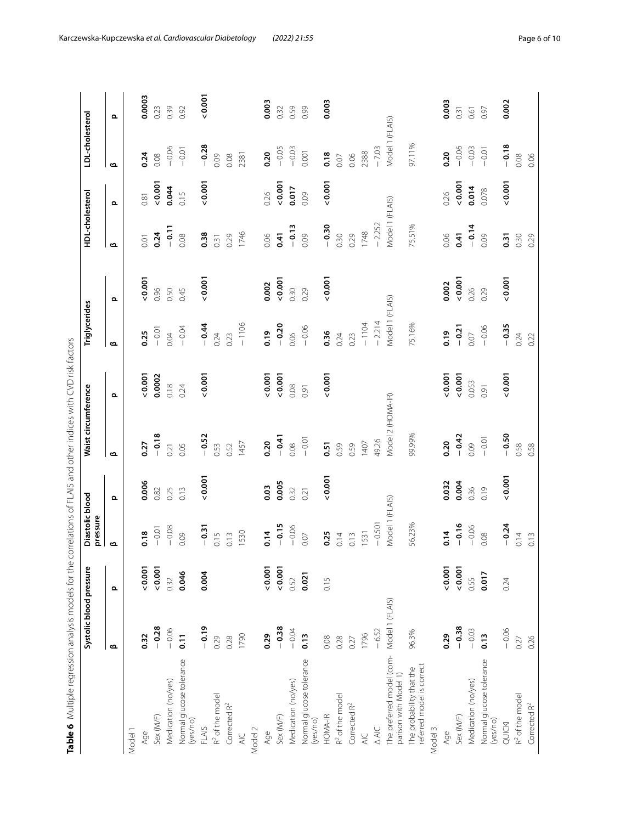<span id="page-5-0"></span>

|                                                       | Systolic blood pressure |       | Diastolic blood<br>pressure |          | Waist circumference |        | Triglycerides     |          | HDL-cholesterol |       | LDL-cholesterol   |          |
|-------------------------------------------------------|-------------------------|-------|-----------------------------|----------|---------------------|--------|-------------------|----------|-----------------|-------|-------------------|----------|
|                                                       | $\mathbf{\Omega}$       | Ω     | മ                           | $\Omega$ | മ                   | ௨      | $\mathbf{\Omega}$ | $\Omega$ | മ               | ௨     | $\mathbf{\Omega}$ | $\Omega$ |
| Model 1                                               |                         |       |                             |          |                     |        |                   |          |                 |       |                   |          |
| Age                                                   | 0.32                    | 0.001 | $\frac{8}{18}$              | 0.006    | 0.27                | 0.001  | 0.25              | 0.001    | 0.01            | 0.81  | 0.24              | 0.0003   |
| Sex (M/F)                                             | $-0.28$                 | 0.001 | $-0.01$                     | 0.82     | $-0.18$             | 0.0002 | $-0.01$           | 0.96     | 0.24            | 0.001 | 0.08              | 0.23     |
| Medication (no/yes)                                   | $-0.06$                 | 0.32  | $-0.08$                     | 0.25     | 0.21                | 0.18   | 0.04              | 0.50     | $-0.11$         | 0.044 | $-0.06$           | 0.39     |
| Normal glucose tolerance<br>(yes/no)                  | $\overline{0}$ .        | 0.046 | 0.09                        | 0.13     | 0.05                | 0.24   | $-0.04$           | 0.45     | 0.08            | 0.15  | $-0.01$           | 0.92     |
| <b>FLAIS</b>                                          | $-0.19$                 | 0.004 | $-0.31$                     | 0.001    | $-0.52$             | 0.001  | $-0.44$           | 0.001    | 0.38            | 0.001 | $-0.28$           | 0.001    |
| R <sup>2</sup> of the model                           | 0.29                    |       | 0.15                        |          | 0.53                |        | 0.24              |          | 0.31            |       | 0.09              |          |
| Corrected R <sup>2</sup>                              | 0.28                    |       | 0.13                        |          | 0.52                |        | 0.23              |          | 0.29            |       | 0.08              |          |
| $\overline{4}$                                        | 1790                    |       | 1530                        |          | 1457                |        | $-1106$           |          | 1746            |       | 2381              |          |
| Model 2                                               |                         |       |                             |          |                     |        |                   |          |                 |       |                   |          |
| Age                                                   | 0.29                    | 0.001 | 0.14                        | 0.03     | 0.20                | 0.001  | 0.19              | 0.002    | 0.06            | 0.26  | 0.20              | 0.003    |
| Sex (M/F)                                             | $-0.38$                 | 0.001 | $-0.15$                     | 0.005    | $-0.41$             | 0.001  | $-0.20$           | 0.001    | 0.41            | 0.001 | $-0.05$           | 0.32     |
| Medication (no/yes)                                   | $-0.04$                 | 0.52  | $-0.06$                     | 0.32     | 0.08                | 0.08   | 0.06              | 0.30     | $-0.13$         | 0.017 | $-0.03$           | 0.59     |
| Normal glucose tolerance<br>(yes/no)                  | 0.13                    | 0.021 | 0.07                        | 0.21     | $-0.01$             | 0.91   | $-0.06$           | 0.29     | 0.09            | 0.09  | 0.001             | 0.99     |
| HOMA-IR                                               | 0.08                    | 0.15  | 0.25                        | 0.001    | 0.51                | 0.001  | 0.36              | 0.001    | $-0.30$         | 0.001 | 0.18              | 0.003    |
| R <sup>2</sup> of the model                           | 0.28                    |       | 0.14                        |          | 0.59                |        | 0.24              |          | 0.30            |       | 0.07              |          |
| Corrected R <sup>2</sup>                              | 0.27                    |       | 0.13                        |          | 0.59                |        | 0.23              |          | 0.29            |       | 0.06              |          |
| $rac{C}{4}$                                           | 1796                    |       | 1531                        |          | 1407                |        | $-1104$           |          | 1748            |       | 2388              |          |
| <b>AIC</b>                                            | $-6.52$                 |       | $-0.501$                    |          | 49.26               |        | $-2.214$          |          | $-2.252$        |       | $-7.03$           |          |
| The preferred model (com-<br>parison with Model 1)    | Model 1 (FLAIS)         |       | Model 1 (FLAIS)             |          | Model 2 (HOMA-IR)   |        | Model 1 (FLAIS)   |          | Model 1 (FLAIS) |       | Model 1 (FLAIS)   |          |
| referred model is correct<br>The probability that the | 96.3%                   |       | 56.23%                      |          | 99.99%              |        | 75.16%            |          | 75.51%          |       | 97.11%            |          |
| Model 3                                               |                         |       |                             |          |                     |        |                   |          |                 |       |                   |          |
| Age                                                   | 0.29                    | 0.001 | 0.14                        | 0.032    | 0.20                | 0.001  | 0.19              | 0.002    | 0.06            | 0.26  | 0.20              | 0.003    |
| Sex (M/F)                                             | $-0.38$                 | 0.001 | $-0.16$                     | 0.004    | $-0.42$             | 0.001  | $-0.21$           | 0.001    | 0.41            | 0.001 | $-0.06$           | 0.31     |
| Medication (no/yes)                                   | $-0.03$                 | 0.55  | $-0.06$                     | 0.36     | 0.09                | 0.053  | 0.07              | 0.26     | $-0.14$         | 0.014 | $-0.03$           | 0.61     |
| Normal glucose tolerance<br>(yes/no)                  | 0.13                    | 0.017 | 0.08                        | 0.19     | $-0.01$             | 0.91   | $-0.06$           | 0.29     | 0.09            | 0.078 | $-0.01$           | 0.97     |
| QUICKI                                                | $-0.06$                 | 0.24  | $-0.24$                     | 0.001    | $-0.50$             | 0.001  | $-0.35$           | 0.001    | $\overline{0}$  | 0.001 | $-0.18$           | 0.002    |
| R <sup>2</sup> of the model                           | 0.27                    |       | 0.14                        |          | 0.58                |        | 0.24              |          | 0.30            |       | 0.08              |          |
| Corrected R <sup>2</sup>                              | 0.26                    |       | 0.13                        |          | 0.58                |        | 0.22              |          | 0.29            |       | 0.06              |          |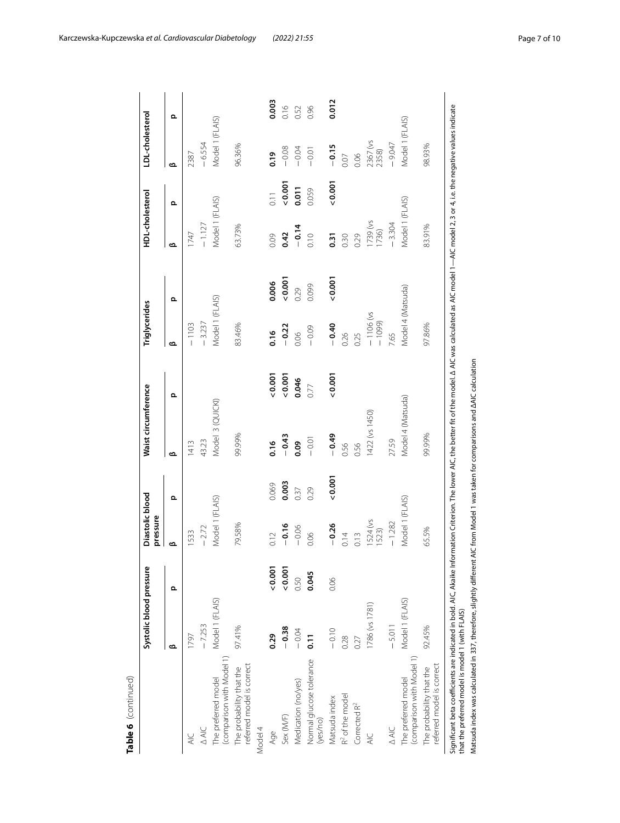|                                                                                                                                                                                                                                                                                                                                                          | Systolic blood pressure |       | Diastolic blood<br>pressure |       | Waist circumference |                                                                         | Triglycerides          |       | HDL-cholesterol   |       | LDL-cholesterol   |       |
|----------------------------------------------------------------------------------------------------------------------------------------------------------------------------------------------------------------------------------------------------------------------------------------------------------------------------------------------------------|-------------------------|-------|-----------------------------|-------|---------------------|-------------------------------------------------------------------------|------------------------|-------|-------------------|-------|-------------------|-------|
|                                                                                                                                                                                                                                                                                                                                                          | ఆ                       | ௨     | മ                           | ௨     | ൶                   | ௨                                                                       | ൶                      | Ω     | ൶                 | ௨     | ൶                 | Q     |
| $rac{C}{4}$                                                                                                                                                                                                                                                                                                                                              | 1797                    |       | 1533                        |       | 413                 |                                                                         | $-1103$                |       | 1747              |       | 2387              |       |
| $\triangle$ AIC                                                                                                                                                                                                                                                                                                                                          | $-7.253$                |       | $-2.72$                     |       | 43.23               |                                                                         | $-3.237$               |       | $-1.127$          |       | $-6.554$          |       |
| (comparison with Model 1)<br>The preferred model                                                                                                                                                                                                                                                                                                         | Model 1 (FLAIS)         |       | Model 1 (FLAIS)             |       | Model 3 (QUICKI)    |                                                                         | Model 1 (FLAIS)        |       | Model 1 (FLAIS)   |       | Model 1 (FLAIS)   |       |
| referred model is correct<br>The probability that the                                                                                                                                                                                                                                                                                                    | 97.41%                  |       | 79.58%                      |       | 99.99%              |                                                                         | 83.46%                 |       | 63.73%            |       | 96.36%            |       |
| Model 4                                                                                                                                                                                                                                                                                                                                                  |                         |       |                             |       |                     |                                                                         |                        |       |                   |       |                   |       |
| Age                                                                                                                                                                                                                                                                                                                                                      | 0.29                    | 0.001 | 0.12                        | 0.069 | 0.16                | 0.001                                                                   | 0.16                   | 0.006 | 0.09              | 0.11  | 0.19              | 0.003 |
| Sex(M/F)                                                                                                                                                                                                                                                                                                                                                 | $-0.38$                 | 0.001 | $-0.16$                     | 0.003 | $-0.43$             | 0.001                                                                   | $-0.22$                | 0.001 | 0.42              | 0.001 | $-0.08$           | 0.16  |
| Medication (no/yes)                                                                                                                                                                                                                                                                                                                                      | $-0.04$                 | 0.50  | $-0.06$                     | 0.37  | <b>eo:0</b>         | 0.046                                                                   | 0.06                   | 0.29  | $-0.14$           | 0.011 | $-0.04$           | 0.52  |
| Normal glucose tolerance<br>(yes/no)                                                                                                                                                                                                                                                                                                                     | $\overline{5}$          | 0.045 | 0.06                        | 0.29  | $-0.01$             | 0.77                                                                    | $-0.09$                | 0.099 | 0.10              | 0.059 | $-0.01$           | 0.96  |
| Matsuda index                                                                                                                                                                                                                                                                                                                                            | $-0.10$                 | 0.06  | $-0.26$                     | 0.001 | $-0.49$             | 0.001                                                                   | $-0.40$                | 0.001 | 0.31              | 0.001 | $-0.15$           | 0.012 |
| R <sup>2</sup> of the model                                                                                                                                                                                                                                                                                                                              | 0.28                    |       | 0.14                        |       | 0.56                |                                                                         | 0.26                   |       | 0.30              |       | 0.07              |       |
| Corrected R <sup>2</sup>                                                                                                                                                                                                                                                                                                                                 | 0.27                    |       | 0.13                        |       | 0.56                |                                                                         | 0.25                   |       | 0.29              |       | 0.06              |       |
| $rac{C}{4}$                                                                                                                                                                                                                                                                                                                                              | 1786 (vs 1781)          |       | 1524 (vs<br>1523)           |       | 1422 (vs 1450)      |                                                                         | $-1106$ (vs<br>$-1099$ |       | 1739 (vs<br>1736) |       | 2367 (vs<br>2358) |       |
| AIC<br>AIC                                                                                                                                                                                                                                                                                                                                               | $-5.011$                |       | $-1.282$                    |       | 27.59               |                                                                         | 7.65                   |       | $-3.304$          |       | $-9.047$          |       |
| (comparison with Model 1)<br>The preferred model                                                                                                                                                                                                                                                                                                         | Model 1 (FLAIS)         |       | Model 1 (FLAIS)             |       | Model 4 (Matsuda)   |                                                                         | Model 4 (Matsuda)      |       | Model 1 (FLAIS)   |       | Model 1 (FLAIS)   |       |
| referred model is correct<br>The probability that the                                                                                                                                                                                                                                                                                                    | 92.45%                  |       | 65.5%                       |       | 99.99%              |                                                                         | 97.86%                 |       | 83.91%            |       | 98.93%            |       |
| Significant beta coefficients are indicated in bold. AIC, Akaike Information Criterion. The lower AIC, the better fit of the model. Δ AIC was calculated as AIC model 1—AIC model 2, 3 or 4, i.e. the negative values indicate<br>Matsuda index was calculated in 337, therefore, slightly different<br>that the preferred model is model 1 (with FLAIS) |                         |       |                             |       |                     | AIC from Model 1 was taken for comparisons and $\Delta$ AIC calculation |                        |       |                   |       |                   |       |

Karczewska‑Kupczewska *et al. Cardiovascular Diabetology (2022) 21:55* Page 7 of 10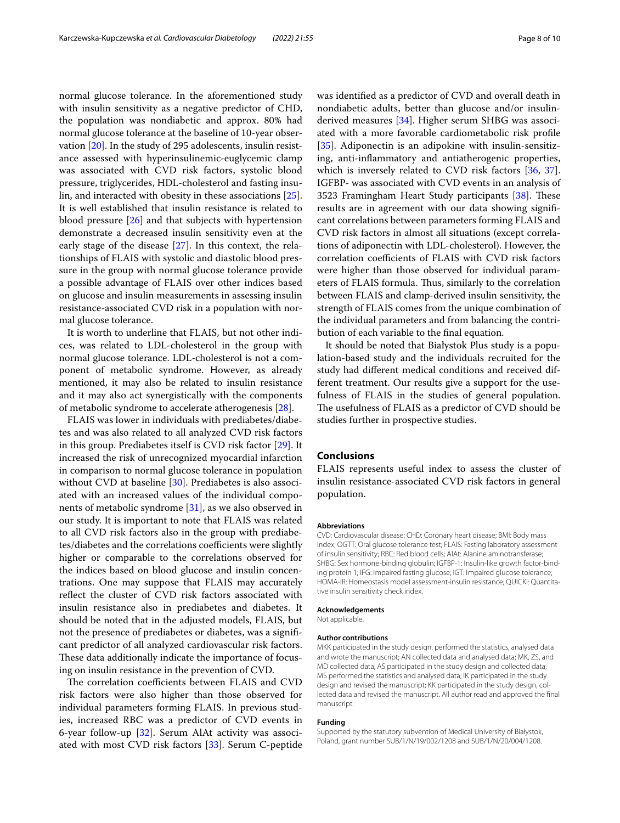normal glucose tolerance. In the aforementioned study with insulin sensitivity as a negative predictor of CHD, the population was nondiabetic and approx. 80% had normal glucose tolerance at the baseline of 10-year observation [[20\]](#page-8-18). In the study of 295 adolescents, insulin resistance assessed with hyperinsulinemic-euglycemic clamp was associated with CVD risk factors, systolic blood pressure, triglycerides, HDL-cholesterol and fasting insulin, and interacted with obesity in these associations [\[25](#page-8-24)]. It is well established that insulin resistance is related to blood pressure [[26](#page-8-25)] and that subjects with hypertension demonstrate a decreased insulin sensitivity even at the early stage of the disease [[27\]](#page-8-26). In this context, the relationships of FLAIS with systolic and diastolic blood pressure in the group with normal glucose tolerance provide a possible advantage of FLAIS over other indices based on glucose and insulin measurements in assessing insulin resistance-associated CVD risk in a population with normal glucose tolerance.

It is worth to underline that FLAIS, but not other indices, was related to LDL-cholesterol in the group with normal glucose tolerance. LDL-cholesterol is not a component of metabolic syndrome. However, as already mentioned, it may also be related to insulin resistance and it may also act synergistically with the components of metabolic syndrome to accelerate atherogenesis [\[28](#page-8-27)].

FLAIS was lower in individuals with prediabetes/diabetes and was also related to all analyzed CVD risk factors in this group. Prediabetes itself is CVD risk factor [\[29](#page-8-28)]. It increased the risk of unrecognized myocardial infarction in comparison to normal glucose tolerance in population without CVD at baseline [\[30](#page-8-29)]. Prediabetes is also associated with an increased values of the individual components of metabolic syndrome [[31\]](#page-9-0), as we also observed in our study. It is important to note that FLAIS was related to all CVD risk factors also in the group with prediabetes/diabetes and the correlations coefficients were slightly higher or comparable to the correlations observed for the indices based on blood glucose and insulin concentrations. One may suppose that FLAIS may accurately refect the cluster of CVD risk factors associated with insulin resistance also in prediabetes and diabetes. It should be noted that in the adjusted models, FLAIS, but not the presence of prediabetes or diabetes, was a signifcant predictor of all analyzed cardiovascular risk factors. These data additionally indicate the importance of focusing on insulin resistance in the prevention of CVD.

The correlation coefficients between FLAIS and CVD risk factors were also higher than those observed for individual parameters forming FLAIS. In previous studies, increased RBC was a predictor of CVD events in 6-year follow-up [[32\]](#page-9-1). Serum AlAt activity was associated with most CVD risk factors [\[33](#page-9-2)]. Serum C-peptide was identifed as a predictor of CVD and overall death in nondiabetic adults, better than glucose and/or insulinderived measures [\[34](#page-9-3)]. Higher serum SHBG was associated with a more favorable cardiometabolic risk profle [[35\]](#page-9-4). Adiponectin is an adipokine with insulin-sensitizing, anti-infammatory and antiatherogenic properties, which is inversely related to CVD risk factors [\[36](#page-9-5), [37](#page-9-6)]. IGFBP- was associated with CVD events in an analysis of 3523 Framingham Heart Study participants  $[38]$  $[38]$  $[38]$ . These results are in agreement with our data showing signifcant correlations between parameters forming FLAIS and CVD risk factors in almost all situations (except correlations of adiponectin with LDL-cholesterol). However, the correlation coefficients of FLAIS with CVD risk factors were higher than those observed for individual parameters of FLAIS formula. Thus, similarly to the correlation between FLAIS and clamp-derived insulin sensitivity, the strength of FLAIS comes from the unique combination of the individual parameters and from balancing the contribution of each variable to the fnal equation.

It should be noted that Białystok Plus study is a population-based study and the individuals recruited for the study had diferent medical conditions and received different treatment. Our results give a support for the usefulness of FLAIS in the studies of general population. The usefulness of FLAIS as a predictor of CVD should be studies further in prospective studies.

## **Conclusions**

FLAIS represents useful index to assess the cluster of insulin resistance-associated CVD risk factors in general population.

#### **Abbreviations**

CVD: Cardiovascular disease; CHD: Coronary heart disease; BMI: Body mass index; OGTT: Oral glucose tolerance test; FLAIS: Fasting laboratory assessment of insulin sensitivity; RBC: Red blood cells; AlAt: Alanine aminotransferase; SHBG: Sex hormone-binding globulin; IGFBP-1: Insulin-like growth factor-binding protein 1; IFG: Impaired fasting glucose; IGT: Impaired glucose tolerance; HOMA-IR: Homeostasis model assessment-insulin resistance; QUICKI: Quantitative insulin sensitivity check index.

#### **Acknowledgements**

Not applicable.

#### **Author contributions**

MKK participated in the study design, performed the statistics, analysed data and wrote the manuscript; AN collected data and analysed data; MK, ZS, and MD collected data; AS participated in the study design and collected data, MS performed the statistics and analysed data; IK participated in the study design and revised the manuscript; KK participated in the study design, collected data and revised the manuscript. All author read and approved the fnal manuscript.

#### **Funding**

Supported by the statutory subvention of Medical University of Białystok, Poland, grant number SUB/1/N/19/002/1208 and SUB/1/N/20/004/1208.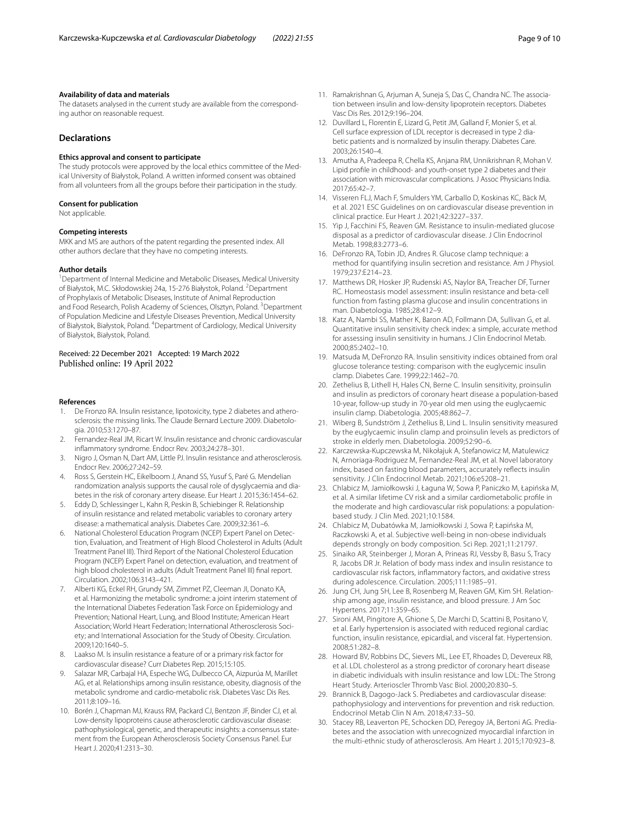#### **Availability of data and materials**

The datasets analysed in the current study are available from the corresponding author on reasonable request.

## **Declarations**

#### **Ethics approval and consent to participate**

The study protocols were approved by the local ethics committee of the Medical University of Białystok, Poland. A written informed consent was obtained from all volunteers from all the groups before their participation in the study.

#### **Consent for publication**

Not applicable.

#### **Competing interests**

MKK and MS are authors of the patent regarding the presented index. All other authors declare that they have no competing interests.

#### **Author details**

<sup>1</sup> Department of Internal Medicine and Metabolic Diseases, Medical University of Białystok, M.C. Skłodowskiej 24a, 15-276 Białystok, Poland. <sup>2</sup> Department of Prophylaxis of Metabolic Diseases, Institute of Animal Reproduction and Food Research, Polish Academy of Sciences, Olsztyn, Poland. <sup>3</sup>Department of Population Medicine and Lifestyle Diseases Prevention, Medical University of Białystok, Białystok, Poland. <sup>4</sup> Department of Cardiology, Medical University of Białystok, Białystok, Poland.

#### Received: 22 December 2021 Accepted: 19 March 2022 Published online: 19 April 2022

#### **References**

- <span id="page-8-0"></span>De Fronzo RA. Insulin resistance, lipotoxicity, type 2 diabetes and atherosclerosis: the missing links. The Claude Bernard Lecture 2009. Diabetologia. 2010;53:1270–87.
- <span id="page-8-1"></span>2. Fernandez-Real JM, Ricart W. Insulin resistance and chronic cardiovascular infammatory syndrome. Endocr Rev. 2003;24:278–301.
- <span id="page-8-2"></span>3. Nigro J, Osman N, Dart AM, Little PJ. Insulin resistance and atherosclerosis. Endocr Rev. 2006;27:242–59.
- <span id="page-8-3"></span>4. Ross S, Gerstein HC, Eikelboom J, Anand SS, Yusuf S, Paré G. Mendelian randomization analysis supports the causal role of dysglycaemia and diabetes in the risk of coronary artery disease. Eur Heart J. 2015;36:1454–62.
- <span id="page-8-4"></span>5. Eddy D, Schlessinger L, Kahn R, Peskin B, Schiebinger R. Relationship of insulin resistance and related metabolic variables to coronary artery disease: a mathematical analysis. Diabetes Care. 2009;32:361–6.
- <span id="page-8-5"></span>6. National Cholesterol Education Program (NCEP) Expert Panel on Detection, Evaluation, and Treatment of High Blood Cholesterol in Adults (Adult Treatment Panel III). Third Report of the National Cholesterol Education Program (NCEP) Expert Panel on detection, evaluation, and treatment of high blood cholesterol in adults (Adult Treatment Panel III) fnal report. Circulation. 2002;106:3143–421.
- <span id="page-8-6"></span>7. Alberti KG, Eckel RH, Grundy SM, Zimmet PZ, Cleeman JI, Donato KA, et al. Harmonizing the metabolic syndrome: a joint interim statement of the International Diabetes Federation Task Force on Epidemiology and Prevention; National Heart, Lung, and Blood Institute; American Heart Association; World Heart Federation; International Atherosclerosis Soci‑ ety; and International Association for the Study of Obesity. Circulation. 2009;120:1640–5.
- <span id="page-8-7"></span>8. Laakso M. Is insulin resistance a feature of or a primary risk factor for cardiovascular disease? Curr Diabetes Rep. 2015;15:105.
- <span id="page-8-8"></span>9. Salazar MR, Carbajal HA, Espeche WG, Dulbecco CA, Aizpurúa M, Marillet AG, et al. Relationships among insulin resistance, obesity, diagnosis of the metabolic syndrome and cardio-metabolic risk. Diabetes Vasc Dis Res. 2011;8:109–16.
- <span id="page-8-9"></span>10. Borén J, Chapman MJ, Krauss RM, Packard CJ, Bentzon JF, Binder CJ, et al. Low-density lipoproteins cause atherosclerotic cardiovascular disease: pathophysiological, genetic, and therapeutic insights: a consensus statement from the European Atherosclerosis Society Consensus Panel. Eur Heart J. 2020;41:2313–30.
- <span id="page-8-10"></span>11. Ramakrishnan G, Arjuman A, Suneja S, Das C, Chandra NC. The association between insulin and low-density lipoprotein receptors. Diabetes Vasc Dis Res. 2012;9:196–204.
- <span id="page-8-11"></span>12. Duvillard L, Florentin E, Lizard G, Petit JM, Galland F, Monier S, et al. Cell surface expression of LDL receptor is decreased in type 2 diabetic patients and is normalized by insulin therapy. Diabetes Care. 2003;26:1540–4.
- <span id="page-8-12"></span>13. Amutha A, Pradeepa R, Chella KS, Anjana RM, Unnikrishnan R, Mohan V. Lipid profle in childhood- and youth-onset type 2 diabetes and their association with microvascular complications. J Assoc Physicians India. 2017;65:42–7.
- <span id="page-8-13"></span>14. Visseren FLJ, Mach F, Smulders YM, Carballo D, Koskinas KC, Bäck M, et al. 2021 ESC Guidelines on on cardiovascular disease prevention in clinical practice. Eur Heart J. 2021;42:3227–337.
- <span id="page-8-14"></span>15. Yip J, Facchini FS, Reaven GM. Resistance to insulin-mediated glucose disposal as a predictor of cardiovascular disease. J Clin Endocrinol Metab. 1998;83:2773–6.
- <span id="page-8-15"></span>16. DeFronzo RA, Tobin JD, Andres R. Glucose clamp technique: a method for quantifying insulin secretion and resistance. Am J Physiol. 1979;237:E214–23.
- <span id="page-8-16"></span>17. Matthews DR, Hosker JP, Rudenski AS, Naylor BA, Treacher DF, Turner RC. Homeostasis model assessment: insulin resistance and beta-cell function from fasting plasma glucose and insulin concentrations in man. Diabetologia. 1985;28:412–9.
- <span id="page-8-23"></span>18. Katz A, Nambi SS, Mather K, Baron AD, Follmann DA, Sullivan G, et al. Quantitative insulin sensitivity check index: a simple, accurate method for assessing insulin sensitivity in humans. J Clin Endocrinol Metab. 2000;85:2402–10.
- <span id="page-8-17"></span>19. Matsuda M, DeFronzo RA. Insulin sensitivity indices obtained from oral glucose tolerance testing: comparison with the euglycemic insulin clamp. Diabetes Care. 1999;22:1462–70.
- <span id="page-8-18"></span>20. Zethelius B, Lithell H, Hales CN, Berne C. Insulin sensitivity, proinsulin and insulin as predictors of coronary heart disease a population-based 10-year, follow-up study in 70-year old men using the euglycaemic insulin clamp. Diabetologia. 2005;48:862–7.
- <span id="page-8-19"></span>21. Wiberg B, Sundström J, Zethelius B, Lind L. Insulin sensitivity measured by the euglycaemic insulin clamp and proinsulin levels as predictors of stroke in elderly men. Diabetologia. 2009;52:90–6.
- <span id="page-8-20"></span>22. Karczewska-Kupczewska M, Nikołajuk A, Stefanowicz M, Matulewicz N, Arnoriaga-Rodriguez M, Fernandez-Real JM, et al. Novel laboratory index, based on fasting blood parameters, accurately refects insulin sensitivity. J Clin Endocrinol Metab. 2021;106:e5208–21.
- <span id="page-8-21"></span>23. Chlabicz M, Jamiołkowski J, Łaguna W, Sowa P, Paniczko M, Łapińska M, et al. A similar lifetime CV risk and a similar cardiometabolic profle in the moderate and high cardiovascular risk populations: a populationbased study. J Clin Med. 2021;10:1584.
- <span id="page-8-22"></span>24. Chlabicz M, Dubatówka M, Jamiołkowski J, Sowa P, Łapińska M, Raczkowski A, et al. Subjective well-being in non-obese individuals depends strongly on body composition. Sci Rep. 2021;11:21797.
- <span id="page-8-24"></span>25. Sinaiko AR, Steinberger J, Moran A, Prineas RJ, Vessby B, Basu S, Tracy R, Jacobs DR Jr. Relation of body mass index and insulin resistance to cardiovascular risk factors, infammatory factors, and oxidative stress during adolescence. Circulation. 2005;111:1985–91.
- <span id="page-8-25"></span>26. Jung CH, Jung SH, Lee B, Rosenberg M, Reaven GM, Kim SH. Relationship among age, insulin resistance, and blood pressure. J Am Soc Hypertens. 2017;11:359–65.
- <span id="page-8-26"></span>27. Sironi AM, Pingitore A, Ghione S, De Marchi D, Scattini B, Positano V, et al. Early hypertension is associated with reduced regional cardiac function, insulin resistance, epicardial, and visceral fat. Hypertension. 2008;51:282–8.
- <span id="page-8-27"></span>28. Howard BV, Robbins DC, Sievers ML, Lee ET, Rhoades D, Devereux RB, et al. LDL cholesterol as a strong predictor of coronary heart disease in diabetic individuals with insulin resistance and low LDL: The Strong Heart Study. Arterioscler Thromb Vasc Biol. 2000;20:830–5.
- <span id="page-8-28"></span>29. Brannick B, Dagogo-Jack S. Prediabetes and cardiovascular disease: pathophysiology and interventions for prevention and risk reduction. Endocrinol Metab Clin N Am. 2018;47:33–50.
- <span id="page-8-29"></span>30. Stacey RB, Leaverton PE, Schocken DD, Peregoy JA, Bertoni AG. Prediabetes and the association with unrecognized myocardial infarction in the multi-ethnic study of atherosclerosis. Am Heart J. 2015;170:923–8.